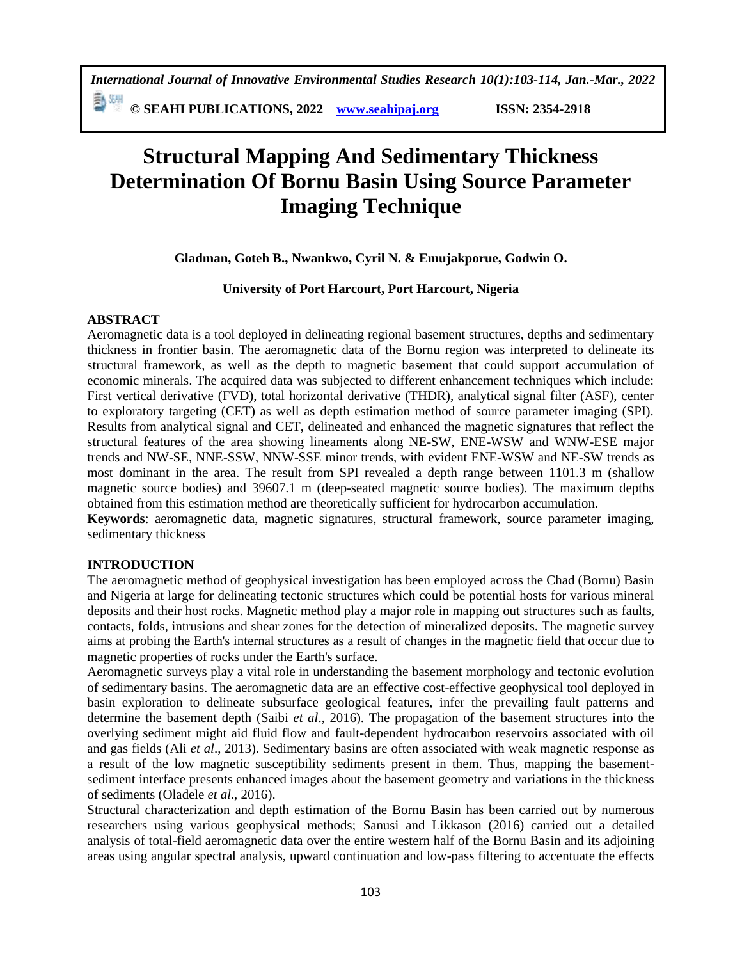**© SEAHI PUBLICATIONS, 2022 [www.seahipaj.org](http://www.seahipaj.org/) ISSN: 2354-2918**

# **Structural Mapping And Sedimentary Thickness Determination Of Bornu Basin Using Source Parameter Imaging Technique**

**Gladman, Goteh B., Nwankwo, Cyril N. & Emujakporue, Godwin O.**

# **University of Port Harcourt, Port Harcourt, Nigeria**

# **ABSTRACT**

Aeromagnetic data is a tool deployed in delineating regional basement structures, depths and sedimentary thickness in frontier basin. The aeromagnetic data of the Bornu region was interpreted to delineate its structural framework, as well as the depth to magnetic basement that could support accumulation of economic minerals. The acquired data was subjected to different enhancement techniques which include: First vertical derivative (FVD), total horizontal derivative (THDR), analytical signal filter (ASF), center to exploratory targeting (CET) as well as depth estimation method of source parameter imaging (SPI). Results from analytical signal and CET, delineated and enhanced the magnetic signatures that reflect the structural features of the area showing lineaments along NE-SW, ENE-WSW and WNW-ESE major trends and NW-SE, NNE-SSW, NNW-SSE minor trends, with evident ENE-WSW and NE-SW trends as most dominant in the area. The result from SPI revealed a depth range between 1101.3 m (shallow magnetic source bodies) and 39607.1 m (deep-seated magnetic source bodies). The maximum depths obtained from this estimation method are theoretically sufficient for hydrocarbon accumulation.

**Keywords**: aeromagnetic data, magnetic signatures, structural framework, source parameter imaging, sedimentary thickness

# **INTRODUCTION**

The aeromagnetic method of geophysical investigation has been employed across the Chad (Bornu) Basin and Nigeria at large for delineating tectonic structures which could be potential hosts for various mineral deposits and their host rocks. Magnetic method play a major role in mapping out structures such as faults, contacts, folds, intrusions and shear zones for the detection of mineralized deposits. The magnetic survey aims at probing the Earth's internal structures as a result of changes in the magnetic field that occur due to magnetic properties of rocks under the Earth's surface.

Aeromagnetic surveys play a vital role in understanding the basement morphology and tectonic evolution of sedimentary basins. The aeromagnetic data are an effective cost-effective geophysical tool deployed in basin exploration to delineate subsurface geological features, infer the prevailing fault patterns and determine the basement depth (Saibi *et al*., 2016). The propagation of the basement structures into the overlying sediment might aid fluid flow and fault-dependent hydrocarbon reservoirs associated with oil and gas fields (Ali *et al*., 2013). Sedimentary basins are often associated with weak magnetic response as a result of the low magnetic susceptibility sediments present in them. Thus, mapping the basementsediment interface presents enhanced images about the basement geometry and variations in the thickness of sediments (Oladele *et al*., 2016).

Structural characterization and depth estimation of the Bornu Basin has been carried out by numerous researchers using various geophysical methods; Sanusi and Likkason (2016) carried out a detailed analysis of total-field aeromagnetic data over the entire western half of the Bornu Basin and its adjoining areas using angular spectral analysis, upward continuation and low-pass filtering to accentuate the effects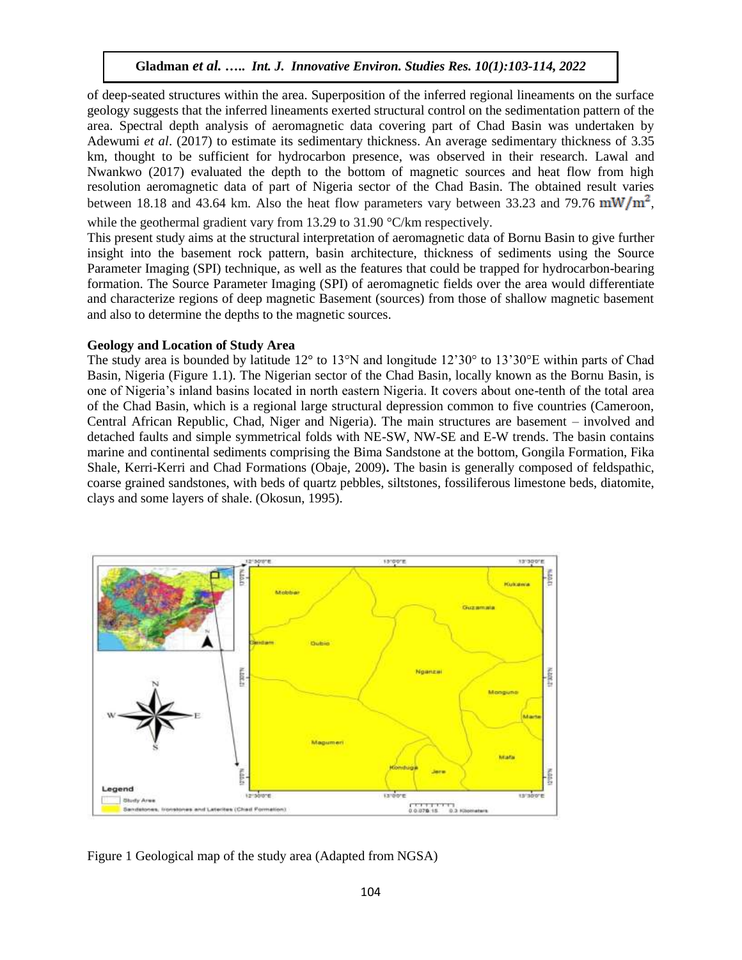of deep-seated structures within the area. Superposition of the inferred regional lineaments on the surface geology suggests that the inferred lineaments exerted structural control on the sedimentation pattern of the area. Spectral depth analysis of aeromagnetic data covering part of Chad Basin was undertaken by Adewumi *et al*. (2017) to estimate its sedimentary thickness. An average sedimentary thickness of 3.35 km, thought to be sufficient for hydrocarbon presence, was observed in their research. Lawal and Nwankwo (2017) evaluated the depth to the bottom of magnetic sources and heat flow from high resolution aeromagnetic data of part of Nigeria sector of the Chad Basin. The obtained result varies between 18.18 and 43.64 km. Also the heat flow parameters vary between 33.23 and 79.76  $mW/m<sup>2</sup>$ , while the geothermal gradient vary from 13.29 to 31.90 °C/km respectively.

This present study aims at the structural interpretation of aeromagnetic data of Bornu Basin to give further insight into the basement rock pattern, basin architecture, thickness of sediments using the Source Parameter Imaging (SPI) technique, as well as the features that could be trapped for hydrocarbon-bearing formation. The Source Parameter Imaging (SPI) of aeromagnetic fields over the area would differentiate and characterize regions of deep magnetic Basement (sources) from those of shallow magnetic basement and also to determine the depths to the magnetic sources.

#### **Geology and Location of Study Area**

The study area is bounded by latitude 12° to 13°N and longitude 12'30° to 13'30°E within parts of Chad Basin, Nigeria (Figure 1.1). The Nigerian sector of the Chad Basin, locally known as the Bornu Basin, is one of Nigeria's inland basins located in north eastern Nigeria. It covers about one-tenth of the total area of the Chad Basin, which is a regional large structural depression common to five countries (Cameroon, Central African Republic, Chad, Niger and Nigeria). The main structures are basement – involved and detached faults and simple symmetrical folds with NE-SW, NW-SE and E-W trends. The basin contains marine and continental sediments comprising the Bima Sandstone at the bottom, Gongila Formation, Fika Shale, Kerri-Kerri and Chad Formations (Obaje, 2009)**.** The basin is generally composed of feldspathic, coarse grained sandstones, with beds of quartz pebbles, siltstones, fossiliferous limestone beds, diatomite, clays and some layers of shale. (Okosun, 1995).



Figure 1 Geological map of the study area (Adapted from NGSA)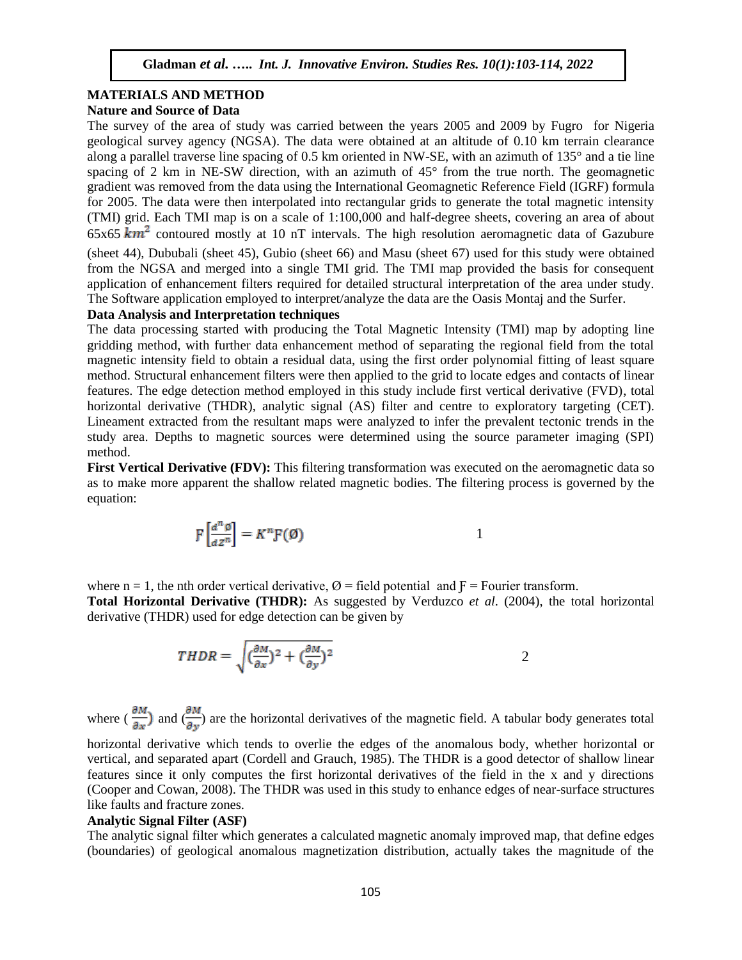# **MATERIALS AND METHOD**

# **Nature and Source of Data**

The survey of the area of study was carried between the years 2005 and 2009 by Fugro for Nigeria geological survey agency (NGSA). The data were obtained at an altitude of 0.10 km terrain clearance along a parallel traverse line spacing of 0.5 km oriented in NW-SE, with an azimuth of 135° and a tie line spacing of 2 km in NE-SW direction, with an azimuth of 45° from the true north. The geomagnetic gradient was removed from the data using the International Geomagnetic Reference Field (IGRF) formula for 2005. The data were then interpolated into rectangular grids to generate the total magnetic intensity (TMI) grid. Each TMI map is on a scale of 1:100,000 and half-degree sheets, covering an area of about 65x65  $km^2$  contoured mostly at 10 nT intervals. The high resolution aeromagnetic data of Gazubure (sheet 44), Dububali (sheet 45), Gubio (sheet 66) and Masu (sheet 67) used for this study were obtained from the NGSA and merged into a single TMI grid. The TMI map provided the basis for consequent application of enhancement filters required for detailed structural interpretation of the area under study. The Software application employed to interpret/analyze the data are the Oasis Montaj and the Surfer.

#### **Data Analysis and Interpretation techniques**

The data processing started with producing the Total Magnetic Intensity (TMI) map by adopting line gridding method, with further data enhancement method of separating the regional field from the total magnetic intensity field to obtain a residual data, using the first order polynomial fitting of least square method. Structural enhancement filters were then applied to the grid to locate edges and contacts of linear features. The edge detection method employed in this study include first vertical derivative (FVD), total horizontal derivative (THDR), analytic signal (AS) filter and centre to exploratory targeting (CET). Lineament extracted from the resultant maps were analyzed to infer the prevalent tectonic trends in the study area. Depths to magnetic sources were determined using the source parameter imaging (SPI) method.

**First Vertical Derivative (FDV):** This filtering transformation was executed on the aeromagnetic data so as to make more apparent the shallow related magnetic bodies. The filtering process is governed by the equation:

$$
\mathcal{F}\left[\frac{d^n \mathcal{G}}{dz^n}\right] = K^n \mathcal{F}(\mathcal{G})
$$

where  $n = 1$ , the nth order vertical derivative,  $\varnothing$  = field potential and  $F =$  Fourier transform. **Total Horizontal Derivative (THDR):** As suggested by Verduzco *et al*. (2004), the total horizontal derivative (THDR) used for edge detection can be given by

$$
THDR = \sqrt{(\frac{\partial M}{\partial x})^2 + (\frac{\partial M}{\partial y})^2}
$$

where  $\left(\frac{\partial M}{\partial x}\right)$  and  $\left(\frac{\partial M}{\partial y}\right)$  are the horizontal derivatives of the magnetic field. A tabular body generates total

horizontal derivative which tends to overlie the edges of the anomalous body, whether horizontal or vertical, and separated apart (Cordell and Grauch, 1985). The THDR is a good detector of shallow linear features since it only computes the first horizontal derivatives of the field in the x and y directions (Cooper and Cowan, 2008). The THDR was used in this study to enhance edges of near-surface structures like faults and fracture zones.

#### **Analytic Signal Filter (ASF)**

The analytic signal filter which generates a calculated magnetic anomaly improved map, that define edges (boundaries) of geological anomalous magnetization distribution, actually takes the magnitude of the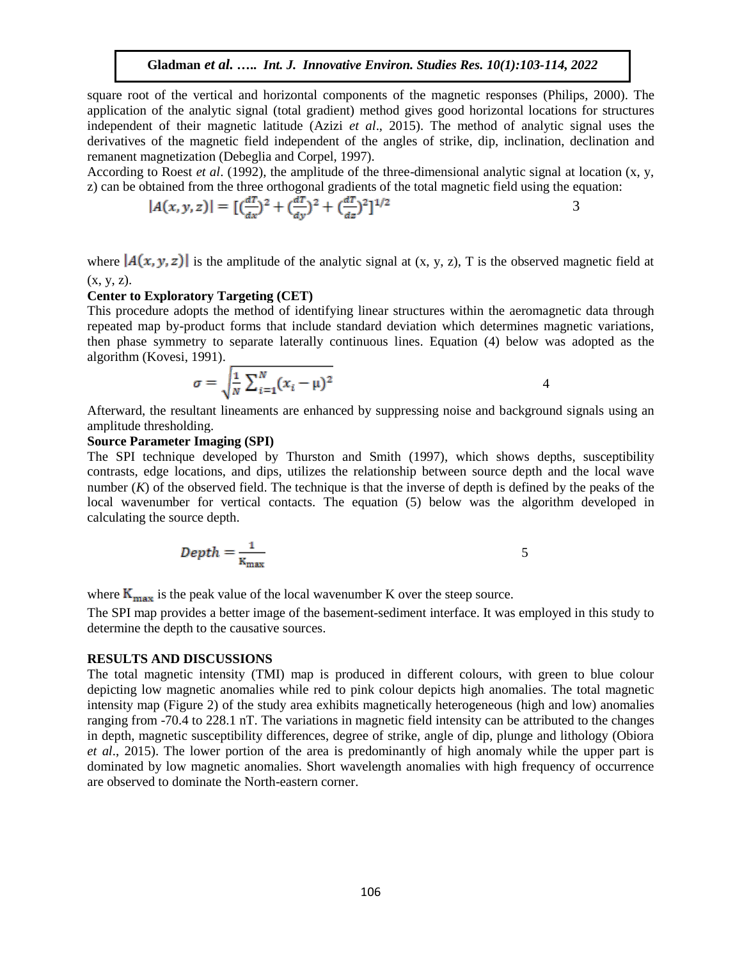square root of the vertical and horizontal components of the magnetic responses (Philips, 2000). The application of the analytic signal (total gradient) method gives good horizontal locations for structures independent of their magnetic latitude (Azizi *et al*., 2015). The method of analytic signal uses the derivatives of the magnetic field independent of the angles of strike, dip, inclination, declination and remanent magnetization (Debeglia and Corpel, 1997).

According to Roest *et al*. (1992), the amplitude of the three-dimensional analytic signal at location (x, y, z) can be obtained from the three orthogonal gradients of the total magnetic field using the equation:

$$
|A(x, y, z)| = [(\frac{dT}{dx})^2 + (\frac{dT}{dy})^2 + (\frac{dT}{dz})^2]^{1/2}
$$

where  $|A(x, y, z)|$  is the amplitude of the analytic signal at (x, y, z), T is the observed magnetic field at  $(x, y, z)$ .

#### **Center to Exploratory Targeting (CET)**

This procedure adopts the method of identifying linear structures within the aeromagnetic data through repeated map by-product forms that include standard deviation which determines magnetic variations, then phase symmetry to separate laterally continuous lines. Equation (4) below was adopted as the algorithm (Kovesi, 1991).

$$
\sigma = \sqrt{\frac{1}{N} \sum_{i=1}^{N} (x_i - \mu)^2}
$$

Afterward, the resultant lineaments are enhanced by suppressing noise and background signals using an amplitude thresholding.

### **Source Parameter Imaging (SPI)**

The SPI technique developed by Thurston and Smith (1997), which shows depths, susceptibility contrasts, edge locations, and dips, utilizes the relationship between source depth and the local wave number  $(K)$  of the observed field. The technique is that the inverse of depth is defined by the peaks of the local wavenumber for vertical contacts. The equation (5) below was the algorithm developed in calculating the source depth.

$$
Depth = \frac{1}{K_{\text{max}}} \tag{5}
$$

where  $K_{\text{max}}$  is the peak value of the local wavenumber K over the steep source.

The SPI map provides a better image of the basement-sediment interface. It was employed in this study to determine the depth to the causative sources.

#### **RESULTS AND DISCUSSIONS**

The total magnetic intensity (TMI) map is produced in different colours, with green to blue colour depicting low magnetic anomalies while red to pink colour depicts high anomalies. The total magnetic intensity map (Figure 2) of the study area exhibits magnetically heterogeneous (high and low) anomalies ranging from -70.4 to 228.1 nT. The variations in magnetic field intensity can be attributed to the changes in depth, magnetic susceptibility differences, degree of strike, angle of dip, plunge and lithology (Obiora *et al*., 2015). The lower portion of the area is predominantly of high anomaly while the upper part is dominated by low magnetic anomalies. Short wavelength anomalies with high frequency of occurrence are observed to dominate the North-eastern corner.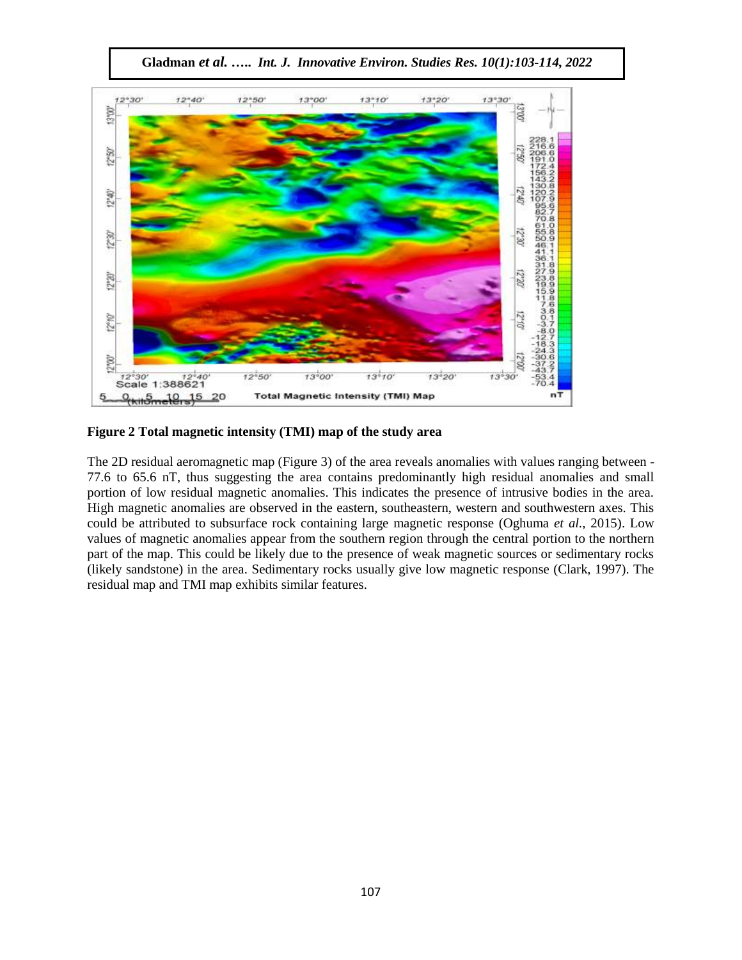$12°40'$  $12°50'$  $13°00$  $13°10'$  $13°20'$  $13°30'$ 3°00' 05-21 œ  $12^9$  $12°40°$  $06.21$ 1230  $12^{12}$ 06.c7 **GOCO**  $\frac{8}{1}$ 12"10" 1210 00.21 12°W  $13^{o}20'$  $13^{+}10^{4}$  $13°30'$  $72°30'$   $72°40$ <br>Scale 1:388621  $12°50$  $13°00$ **Total Magnetic Intensity (TMI) Map** 5  $9 + 5 - 10 - 15$ 20 n٦

**Gladman** *et al.* **…..** *Int. J. Innovative Environ. Studies Res. 10(1):103-114, 2022*

**Figure 2 Total magnetic intensity (TMI) map of the study area**

The 2D residual aeromagnetic map (Figure 3) of the area reveals anomalies with values ranging between - 77.6 to 65.6 nT, thus suggesting the area contains predominantly high residual anomalies and small portion of low residual magnetic anomalies. This indicates the presence of intrusive bodies in the area. High magnetic anomalies are observed in the eastern, southeastern, western and southwestern axes. This could be attributed to subsurface rock containing large magnetic response (Oghuma *et al.*, 2015). Low values of magnetic anomalies appear from the southern region through the central portion to the northern part of the map. This could be likely due to the presence of weak magnetic sources or sedimentary rocks (likely sandstone) in the area. Sedimentary rocks usually give low magnetic response (Clark, 1997). The residual map and TMI map exhibits similar features.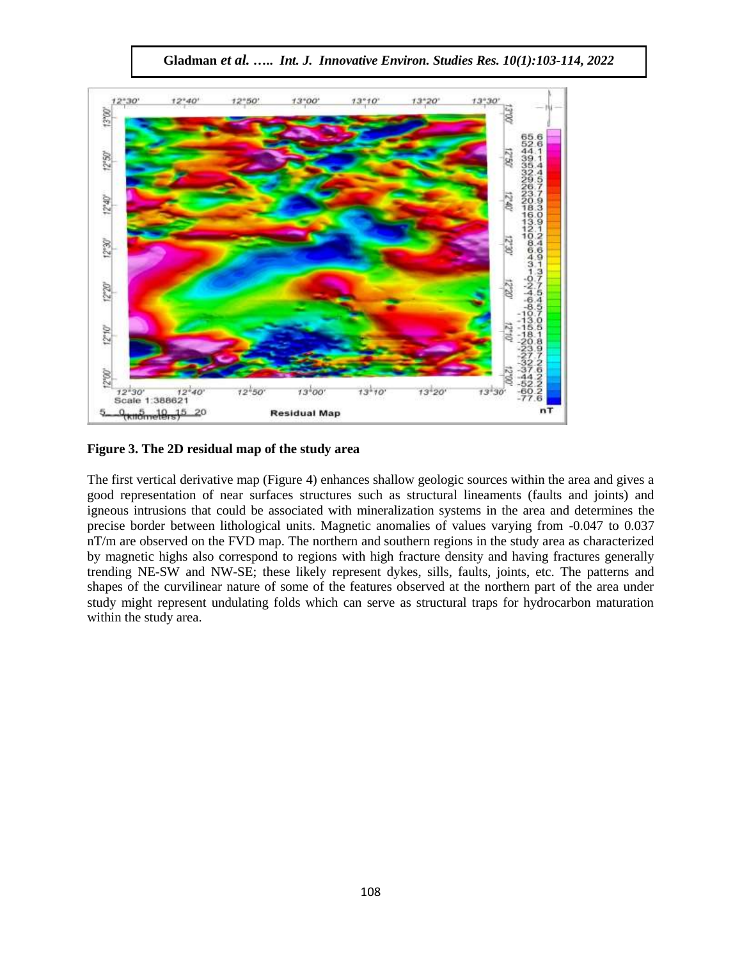

**Gladman** *et al.* **…..** *Int. J. Innovative Environ. Studies Res. 10(1):103-114, 2022*

**Figure 3. The 2D residual map of the study area**

The first vertical derivative map (Figure 4) enhances shallow geologic sources within the area and gives a good representation of near surfaces structures such as structural lineaments (faults and joints) and igneous intrusions that could be associated with mineralization systems in the area and determines the precise border between lithological units. Magnetic anomalies of values varying from -0.047 to 0.037 nT/m are observed on the FVD map. The northern and southern regions in the study area as characterized by magnetic highs also correspond to regions with high fracture density and having fractures generally trending NE-SW and NW-SE; these likely represent dykes, sills, faults, joints, etc. The patterns and shapes of the curvilinear nature of some of the features observed at the northern part of the area under study might represent undulating folds which can serve as structural traps for hydrocarbon maturation within the study area.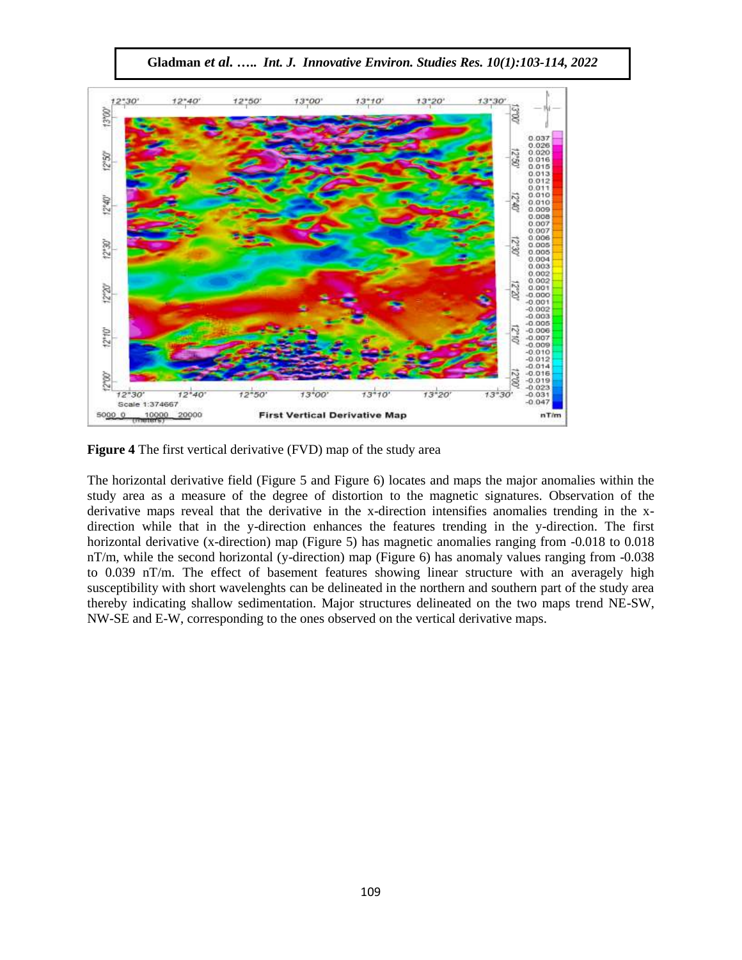$12 - 40'$  $12°50'$  $13°00°$  $13 - 10$  $13°20'$ 13-30 13'00'  $\begin{array}{c} 0.037 \\ 0.026 \\ 0.016 \\ 0.016 \\ 0.016 \\ 0.016 \\ 0.016 \\ 0.017 \\ 0.010 \\ 0.000 \\ 0.000 \\ 0.000 \\ 0.000 \\ 0.000 \\ 0.000 \\ 0.000 \\ 0.000 \\ 0.000 \\ 0.000 \\ 0.000 \\ 0.000 \\ 0.000 \\ 0.003 \end{array}$ 12% 83 12°40' 0,50 530  $12°30'$  $0.002$ <br>0.002<br>0.001  $\mathbb{R}$  $x_{31}$  $-0.000$ <br>  $-0.002$ <br>  $-0.003$ <br>  $-0.005$ <br>  $-0.006$ <br>  $-0.006$  $12*10'$ 01 eZ 1  $-0.007$ <br> $-0.009$ <br> $-0.010$ <br> $-0.012$  $-0.014$ <br> $-0.016$ <br> $-0.019$ <br> $-0.023$ 12°00' 00.2  $13 - 10$  $13^{+20}$  $13^{+30}$  $12^{\circ}30$  $12*40$  $12 - 50$  $13^{+00}$  $-0.031$  $0.047$ Scale 1:374667 10000 20000 **First Vertical Derivative Map** nT/m 5000 0

**Gladman** *et al.* **…..** *Int. J. Innovative Environ. Studies Res. 10(1):103-114, 2022*

**Figure 4** The first vertical derivative (FVD) map of the study area

The horizontal derivative field (Figure 5 and Figure 6) locates and maps the major anomalies within the study area as a measure of the degree of distortion to the magnetic signatures. Observation of the derivative maps reveal that the derivative in the x-direction intensifies anomalies trending in the xdirection while that in the y-direction enhances the features trending in the y-direction. The first horizontal derivative (x-direction) map (Figure 5) has magnetic anomalies ranging from -0.018 to 0.018 nT/m, while the second horizontal (y-direction) map (Figure 6) has anomaly values ranging from -0.038 to 0.039 nT/m. The effect of basement features showing linear structure with an averagely high susceptibility with short wavelenghts can be delineated in the northern and southern part of the study area thereby indicating shallow sedimentation. Major structures delineated on the two maps trend NE-SW, NW-SE and E-W, corresponding to the ones observed on the vertical derivative maps.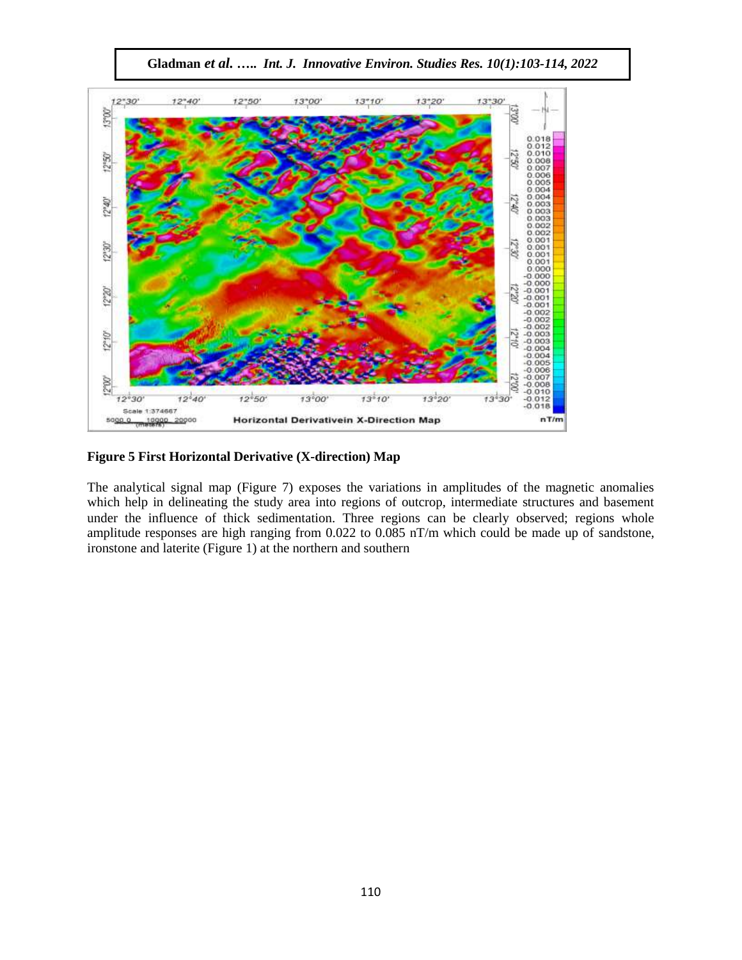

**Gladman** *et al.* **…..** *Int. J. Innovative Environ. Studies Res. 10(1):103-114, 2022*

**Figure 5 First Horizontal Derivative (X-direction) Map**

The analytical signal map (Figure 7) exposes the variations in amplitudes of the magnetic anomalies which help in delineating the study area into regions of outcrop, intermediate structures and basement under the influence of thick sedimentation. Three regions can be clearly observed; regions whole amplitude responses are high ranging from 0.022 to 0.085 nT/m which could be made up of sandstone, ironstone and laterite (Figure 1) at the northern and southern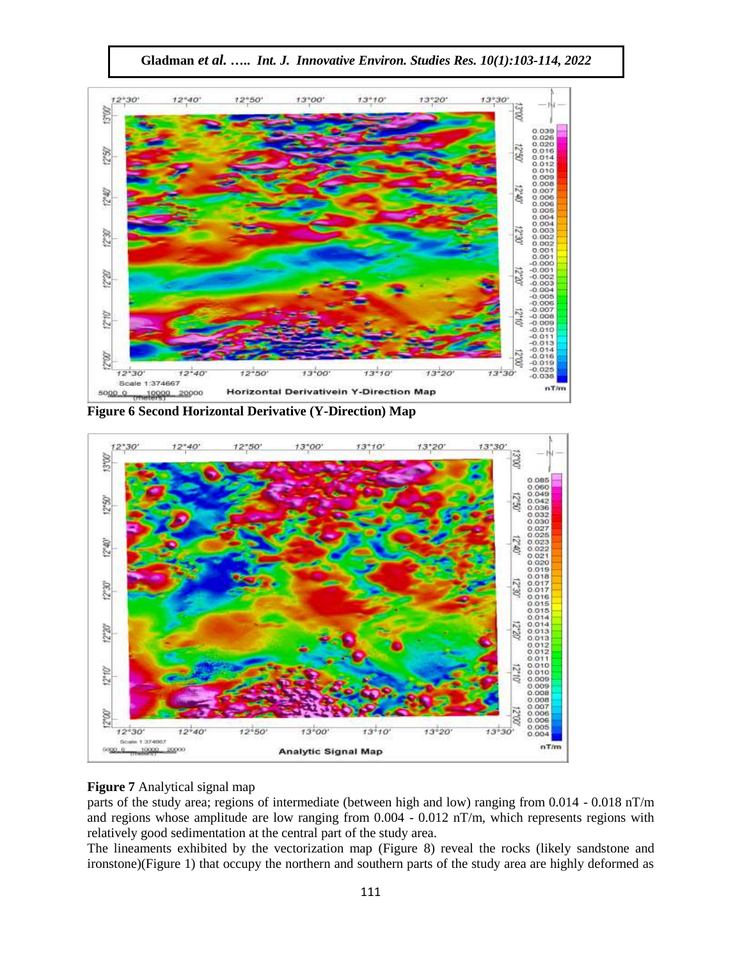

**Gladman** *et al.* **…..** *Int. J. Innovative Environ. Studies Res. 10(1):103-114, 2022*

**Figure 6 Second Horizontal Derivative (Y-Direction) Map**



# **Figure 7** Analytical signal map

parts of the study area; regions of intermediate (between high and low) ranging from 0.014 - 0.018 nT/m and regions whose amplitude are low ranging from 0.004 - 0.012 nT/m, which represents regions with relatively good sedimentation at the central part of the study area.

The lineaments exhibited by the vectorization map (Figure 8) reveal the rocks (likely sandstone and ironstone)(Figure 1) that occupy the northern and southern parts of the study area are highly deformed as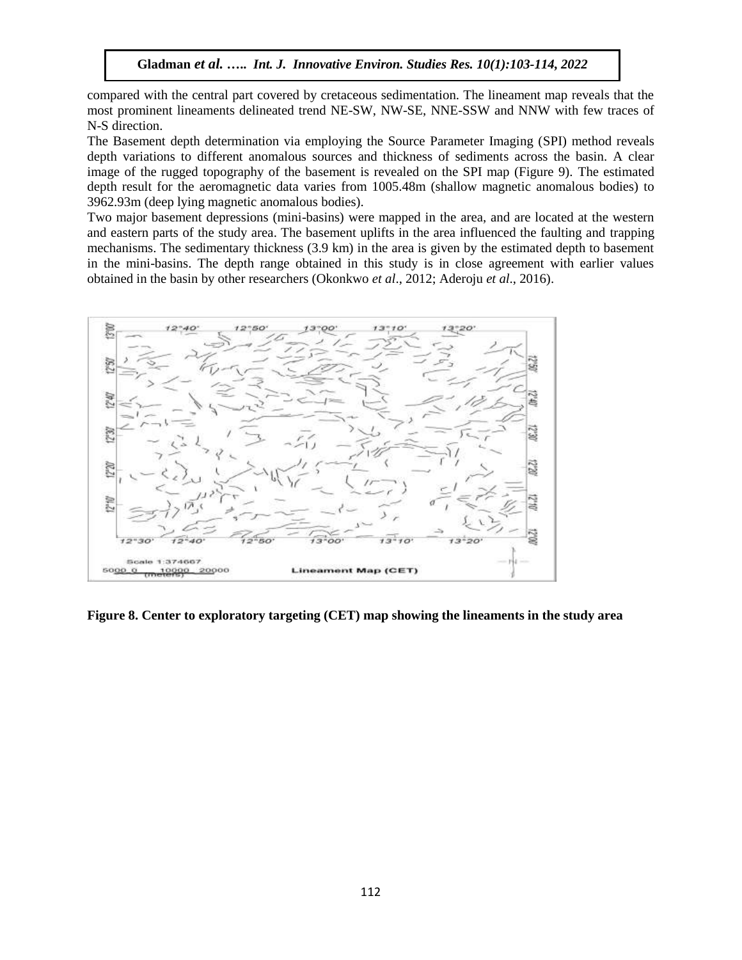compared with the central part covered by cretaceous sedimentation. The lineament map reveals that the most prominent lineaments delineated trend NE-SW, NW-SE, NNE-SSW and NNW with few traces of N-S direction.

The Basement depth determination via employing the Source Parameter Imaging (SPI) method reveals depth variations to different anomalous sources and thickness of sediments across the basin. A clear image of the rugged topography of the basement is revealed on the SPI map (Figure 9). The estimated depth result for the aeromagnetic data varies from 1005.48m (shallow magnetic anomalous bodies) to 3962.93m (deep lying magnetic anomalous bodies).

Two major basement depressions (mini-basins) were mapped in the area, and are located at the western and eastern parts of the study area. The basement uplifts in the area influenced the faulting and trapping mechanisms. The sedimentary thickness (3.9 km) in the area is given by the estimated depth to basement in the mini-basins. The depth range obtained in this study is in close agreement with earlier values obtained in the basin by other researchers (Okonkwo *et al*., 2012; Aderoju *et al*., 2016).



**Figure 8. Center to exploratory targeting (CET) map showing the lineaments in the study area**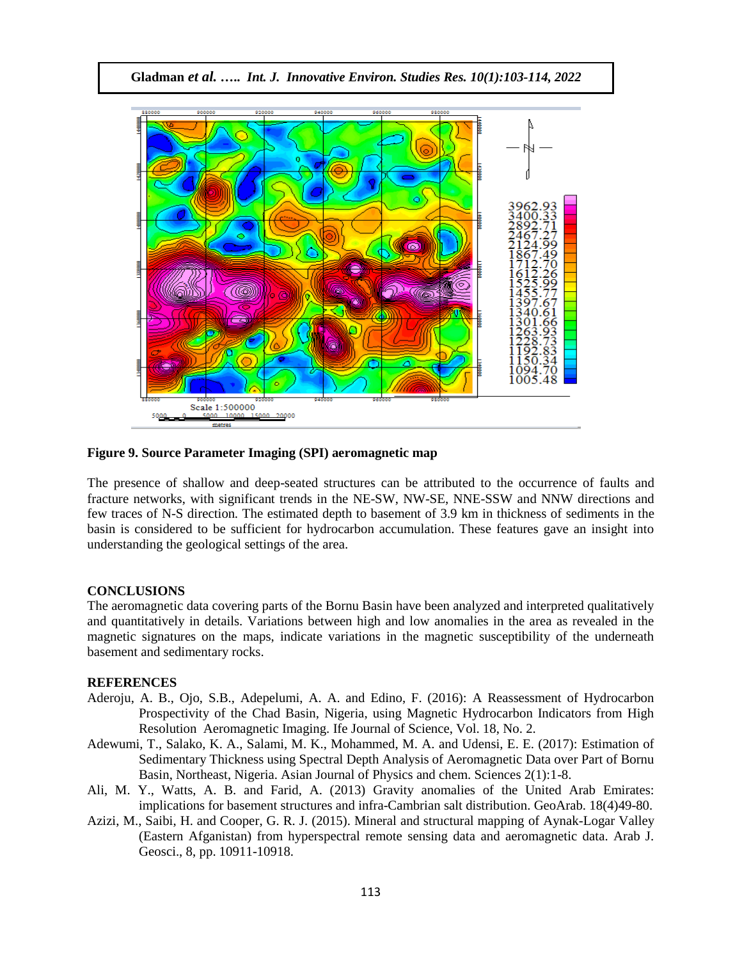

#### **Figure 9. Source Parameter Imaging (SPI) aeromagnetic map**

The presence of shallow and deep-seated structures can be attributed to the occurrence of faults and fracture networks, with significant trends in the NE-SW, NW-SE, NNE-SSW and NNW directions and few traces of N-S direction. The estimated depth to basement of 3.9 km in thickness of sediments in the basin is considered to be sufficient for hydrocarbon accumulation. These features gave an insight into understanding the geological settings of the area.

#### **CONCLUSIONS**

The aeromagnetic data covering parts of the Bornu Basin have been analyzed and interpreted qualitatively and quantitatively in details. Variations between high and low anomalies in the area as revealed in the magnetic signatures on the maps, indicate variations in the magnetic susceptibility of the underneath basement and sedimentary rocks.

#### **REFERENCES**

- Aderoju, A. B., Ojo, S.B., Adepelumi, A. A. and Edino, F. (2016): A Reassessment of Hydrocarbon Prospectivity of the Chad Basin, Nigeria, using Magnetic Hydrocarbon Indicators from High Resolution Aeromagnetic Imaging. Ife Journal of Science, Vol. 18, No. 2.
- Adewumi, T., Salako, K. A., Salami, M. K., Mohammed, M. A. and Udensi, E. E. (2017): Estimation of Sedimentary Thickness using Spectral Depth Analysis of Aeromagnetic Data over Part of Bornu Basin, Northeast, Nigeria. Asian Journal of Physics and chem. Sciences 2(1):1-8.
- Ali, M. Y., Watts, A. B. and Farid, A. (2013) Gravity anomalies of the United Arab Emirates: implications for basement structures and infra-Cambrian salt distribution. GeoArab. 18(4)49-80.
- Azizi, M., Saibi, H. and Cooper, G. R. J. (2015). Mineral and structural mapping of Aynak-Logar Valley (Eastern Afganistan) from hyperspectral remote sensing data and aeromagnetic data. Arab J. Geosci., 8, pp. 10911-10918.